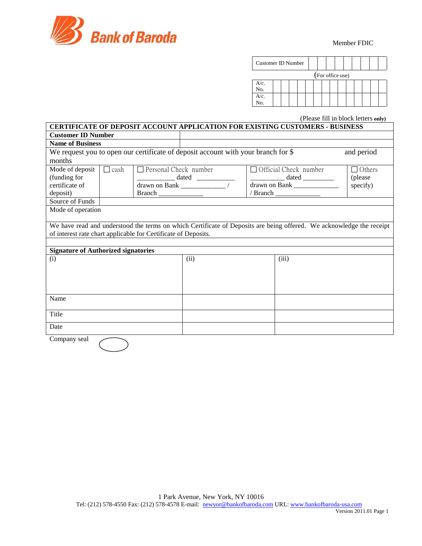

| Customer ID Number |  |  |                  |  |  |  |  |
|--------------------|--|--|------------------|--|--|--|--|
|                    |  |  | (For office use) |  |  |  |  |
| A/c.<br>No.        |  |  |                  |  |  |  |  |
| $A/c$ .<br>No.     |  |  |                  |  |  |  |  |

(Please fill in block letters **only)**

|                                                                |             |                              |                                                                                   | <b>CERTIFICATE OF DEPOSIT ACCOUNT APPLICATION FOR EXISTING CUSTOMERS - BUSINESS</b>                                                                                                                                                                                                                                                                                                                                                           |               |
|----------------------------------------------------------------|-------------|------------------------------|-----------------------------------------------------------------------------------|-----------------------------------------------------------------------------------------------------------------------------------------------------------------------------------------------------------------------------------------------------------------------------------------------------------------------------------------------------------------------------------------------------------------------------------------------|---------------|
| <b>Customer ID Number</b>                                      |             |                              |                                                                                   |                                                                                                                                                                                                                                                                                                                                                                                                                                               |               |
| <b>Name of Business</b>                                        |             |                              |                                                                                   |                                                                                                                                                                                                                                                                                                                                                                                                                                               |               |
|                                                                |             |                              | We request you to open our certificate of deposit account with your branch for \$ |                                                                                                                                                                                                                                                                                                                                                                                                                                               | and period    |
| months                                                         |             |                              |                                                                                   |                                                                                                                                                                                                                                                                                                                                                                                                                                               |               |
| Mode of deposit                                                | $\Box$ cash | $\Box$ Personal Check number |                                                                                   | $\Box$ Official Check number                                                                                                                                                                                                                                                                                                                                                                                                                  | $\Box$ Others |
| (funding for                                                   |             |                              |                                                                                   | $\frac{1}{\sqrt{1-\frac{1}{2}}}\cdot\frac{1}{\sqrt{1-\frac{1}{2}}}\cdot\frac{1}{\sqrt{1-\frac{1}{2}}}\cdot\frac{1}{\sqrt{1-\frac{1}{2}}}\cdot\frac{1}{\sqrt{1-\frac{1}{2}}}\cdot\frac{1}{\sqrt{1-\frac{1}{2}}}\cdot\frac{1}{\sqrt{1-\frac{1}{2}}}\cdot\frac{1}{\sqrt{1-\frac{1}{2}}}\cdot\frac{1}{\sqrt{1-\frac{1}{2}}}\cdot\frac{1}{\sqrt{1-\frac{1}{2}}}\cdot\frac{1}{\sqrt{1-\frac{1}{2}}}\cdot\frac{1}{\sqrt{1-\frac{1}{2}}}\cdot\frac{1$ | (please)      |
| certificate of                                                 |             |                              |                                                                                   | drawn on Bank ________________                                                                                                                                                                                                                                                                                                                                                                                                                | specify)      |
| deposit)                                                       |             |                              |                                                                                   |                                                                                                                                                                                                                                                                                                                                                                                                                                               |               |
| Source of Funds                                                |             |                              |                                                                                   |                                                                                                                                                                                                                                                                                                                                                                                                                                               |               |
| Mode of operation                                              |             |                              |                                                                                   |                                                                                                                                                                                                                                                                                                                                                                                                                                               |               |
|                                                                |             |                              |                                                                                   |                                                                                                                                                                                                                                                                                                                                                                                                                                               |               |
|                                                                |             |                              |                                                                                   | We have read and understood the terms on which Certificate of Deposits are being offered. We acknowledge the receipt                                                                                                                                                                                                                                                                                                                          |               |
| of interest rate chart applicable for Certificate of Deposits. |             |                              |                                                                                   |                                                                                                                                                                                                                                                                                                                                                                                                                                               |               |
|                                                                |             |                              |                                                                                   |                                                                                                                                                                                                                                                                                                                                                                                                                                               |               |
| <b>Signature of Authorized signatories</b>                     |             |                              |                                                                                   |                                                                                                                                                                                                                                                                                                                                                                                                                                               |               |
| (i)                                                            |             |                              | (ii)                                                                              | (iii)                                                                                                                                                                                                                                                                                                                                                                                                                                         |               |
|                                                                |             |                              |                                                                                   |                                                                                                                                                                                                                                                                                                                                                                                                                                               |               |
|                                                                |             |                              |                                                                                   |                                                                                                                                                                                                                                                                                                                                                                                                                                               |               |
|                                                                |             |                              |                                                                                   |                                                                                                                                                                                                                                                                                                                                                                                                                                               |               |
|                                                                |             |                              |                                                                                   |                                                                                                                                                                                                                                                                                                                                                                                                                                               |               |
| Name                                                           |             |                              |                                                                                   |                                                                                                                                                                                                                                                                                                                                                                                                                                               |               |
|                                                                |             |                              |                                                                                   |                                                                                                                                                                                                                                                                                                                                                                                                                                               |               |
| Title                                                          |             |                              |                                                                                   |                                                                                                                                                                                                                                                                                                                                                                                                                                               |               |
| Date                                                           |             |                              |                                                                                   |                                                                                                                                                                                                                                                                                                                                                                                                                                               |               |
|                                                                |             |                              |                                                                                   |                                                                                                                                                                                                                                                                                                                                                                                                                                               |               |
| Company seal                                                   |             |                              |                                                                                   |                                                                                                                                                                                                                                                                                                                                                                                                                                               |               |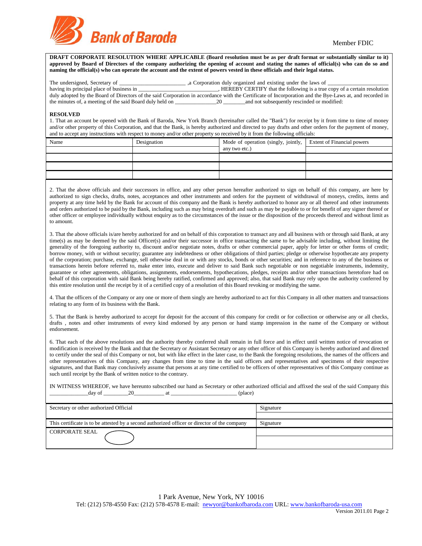

**DRAFT CORPORATE RESOLUTION WHERE APPLICABLE (Board resolution must be as per draft format or substantially similar to it)**  approved by Board of Directors of the company authorizing the opening of account and stating the names of official(s) who can do so and **naming the official(s) who can operate the account and the extent of powers vested in these officials and their legal status.**

| The undersigned, Secretary of                            | a Corporation duly organized and existing under the laws of                                                                                             |
|----------------------------------------------------------|---------------------------------------------------------------------------------------------------------------------------------------------------------|
| having its principal place of business in                | HEREBY CERTIFY that the following is a true copy of a certain resolution                                                                                |
|                                                          | duly adopted by the Board of Directors of the said Corporation in accordance with the Certificate of Incorporation and the Bye-Laws at, and recorded in |
| the minutes of, a meeting of the said Board duly held on | and not subsequently rescinded or modified:<br>20                                                                                                       |

### **RESOLVED**

1. That an account be opened with the Bank of Baroda, New York Branch (hereinafter called the "Bank") for receipt by it from time to time of money and/or other property of this Corporation, and that the Bank, is hereby authorized and directed to pay drafts and other orders for the payment of money, and to accept any instructions with respect to money and/or other property so received by it from the following officials:

| Name | Designation | Mode of operation (singly, jointly,   Extent of Financial powers |  |
|------|-------------|------------------------------------------------------------------|--|
|      |             | any two etc.)                                                    |  |
|      |             |                                                                  |  |
|      |             |                                                                  |  |
|      |             |                                                                  |  |

2. That the above officials and their successors in office, and any other person hereafter authorized to sign on behalf of this company, are here by authorized to sign checks, drafts, notes, acceptances and other instruments and orders for the payment of withdrawal of moneys, credits, items and property at any time held by the Bank for account of this company and the Bank is hereby authorized to honor any or all thereof and other instruments and orders authorized to be paid by the Bank, including such as may bring overdraft and such as may be payable to or for benefit of any signer thereof or other officer or employee individually without enquiry as to the circumstances of the issue or the disposition of the proceeds thereof and without limit as to amount.

3. That the above officials is/are hereby authorized for and on behalf of this corporation to transact any and all business with or through said Bank, at any time(s) as may be deemed by the said Officer(s) and/or their successor in office transacting the same to be advisable including, without limiting the generality of the foregoing authority to, discount and/or negotiate notes, drafts or other commercial paper, apply for letter or other forms of credit; borrow money, with or without security; guarantee any indebtedness or other obligations of third parties; pledge or otherwise hypothecate any property of the corporation; purchase, exchange, sell otherwise deal in or with any stocks, bonds or other securities; and in reference to any of the business or transactions herein before referred to, make enter into, execute and deliver to said Bank such negotiable or non negotiable instruments, indemnity, guarantee or other agreements, obligations, assignments, endorsements, hypothecations, pledges, receipts and/or other transactions heretofore had on behalf of this corporation with said Bank being hereby ratified, confirmed and approved; also, that said Bank may rely upon the authority conferred by this entire resolution until the receipt by it of a certified copy of a resolution of this Board revoking or modifying the same.

4. That the officers of the Company or any one or more of them singly are hereby authorized to act for this Company in all other matters and transactions relating to any form of its business with the Bank.

5. That the Bank is hereby authorized to accept for deposit for the account of this company for credit or for collection or otherwise any or all checks, drafts , notes and other instruments of every kind endorsed by any person or hand stamp impression in the name of the Company or without endorsement.

6. That each of the above resolutions and the authority thereby conferred shall remain in full force and in effect until written notice of revocation or modification is received by the Bank and that the Secretary or Assistant Secretary or any other officer of this Company is hereby authorized and directed to certify under the seal of this Company or not, but with like effect in the later case, to the Bank the foregoing resolutions, the names of the officers and other representatives of this Company, any changes from time to time in the said officers and representatives and specimens of their respective signatures, and that Bank may conclusively assume that persons at any time certified to be officers of other representatives of this Company continue as such until receipt by the Bank of written notice to the contrary.

IN WITNESS WHEREOF, we have hereunto subscribed our hand as Secretary or other authorized official and affixed the seal of the said Company this  $_\text{dav}$  of  $\qquad \qquad$  20  $_\text{at}$  at  $_\text{cylace}$ 

| Secretary or other authorized Official                                                       | Signature |
|----------------------------------------------------------------------------------------------|-----------|
|                                                                                              |           |
| This certificate is to be attested by a second authorized officer or director of the company | Signature |
| <b>CORPORATE SEAL</b>                                                                        |           |
|                                                                                              |           |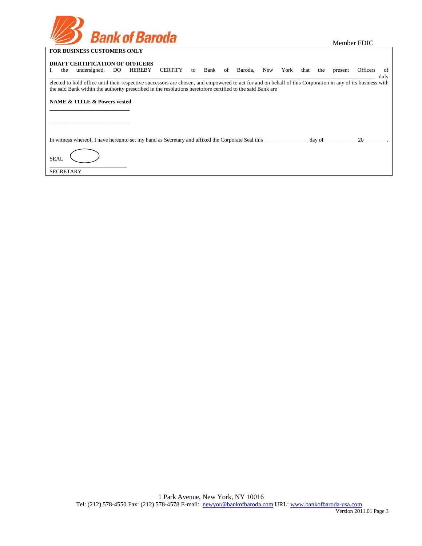| <b>FOR BUSINESS CUSTOMERS ONLY</b> |
|------------------------------------|

Member FDIC

|                  | 1 OK BOOM (BDD CODTONIBING OF (B I                                                                                                                                                                                                                                        |     |               |         |    |  |                 |     |      |      |        |         |                 |                       |
|------------------|---------------------------------------------------------------------------------------------------------------------------------------------------------------------------------------------------------------------------------------------------------------------------|-----|---------------|---------|----|--|-----------------|-----|------|------|--------|---------|-----------------|-----------------------|
| the              | <b>DRAFT CERTIFICATION OF OFFICERS</b><br>undersigned,                                                                                                                                                                                                                    | DO. | <b>HEREBY</b> | CERTIFY | to |  | Bank of Baroda, | New | York | that | the    | present | <b>Officers</b> | <sub>of</sub><br>duly |
|                  | elected to hold office until their respective successors are chosen, and empowered to act for and on behalf of this Corporation in any of its business with<br>the said Bank within the authority prescribed in the resolutions heretofore certified to the said Bank are |     |               |         |    |  |                 |     |      |      |        |         |                 |                       |
|                  | <b>NAME &amp; TITLE &amp; Powers vested</b>                                                                                                                                                                                                                               |     |               |         |    |  |                 |     |      |      |        |         |                 |                       |
|                  |                                                                                                                                                                                                                                                                           |     |               |         |    |  |                 |     |      |      |        |         |                 |                       |
|                  | In witness whereof, I have hereunto set my hand as Secretary and affixed the Corporate Seal this                                                                                                                                                                          |     |               |         |    |  |                 |     |      |      | day of |         | 20              |                       |
| <b>SEAL</b>      |                                                                                                                                                                                                                                                                           |     |               |         |    |  |                 |     |      |      |        |         |                 |                       |
| <b>SECRETARY</b> |                                                                                                                                                                                                                                                                           |     |               |         |    |  |                 |     |      |      |        |         |                 |                       |